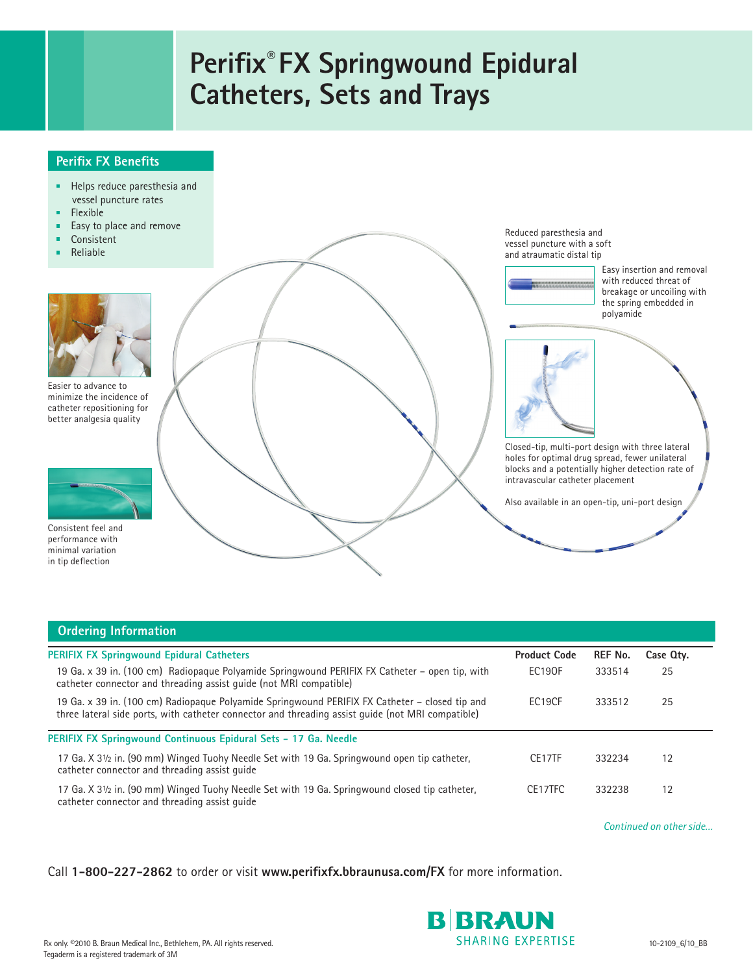## **Perifix® FX Springwound Epidural Catheters, Sets and Trays**

## **Perifix FX Benefits**

- Helps reduce paresthesia and  $\blacksquare$ vessel puncture rates
- Flexible r
- Easy to place and remove É
- $\blacksquare$ Consistent
- 'n Reliable



Easier to advance to minimize the incidence of catheter repositioning for better analgesia quality



Consistent feel and performance with minimal variation in tip deflection



| <b>Ordering Information</b>                                                                                                                                                                         |                         |                |           |  |  |  |
|-----------------------------------------------------------------------------------------------------------------------------------------------------------------------------------------------------|-------------------------|----------------|-----------|--|--|--|
| <b>PERIFIX FX Springwound Epidural Catheters</b>                                                                                                                                                    | <b>Product Code</b>     | <b>REF No.</b> | Case Qty. |  |  |  |
| 19 Ga. x 39 in. (100 cm) Radiopague Polyamide Springwound PERIFIX FX Catheter – open tip, with<br>catheter connector and threading assist quide (not MRI compatible)                                | <b>EC190F</b>           | 333514         | 25        |  |  |  |
| 19 Ga. x 39 in. (100 cm) Radiopaque Polyamide Springwound PERIFIX FX Catheter - closed tip and<br>three lateral side ports, with catheter connector and threading assist quide (not MRI compatible) | EC19CF                  | 333512         | 25        |  |  |  |
| PERIFIX FX Springwound Continuous Epidural Sets - 17 Ga. Needle                                                                                                                                     |                         |                |           |  |  |  |
| 17 Ga. X 31/2 in. (90 mm) Winged Tuohy Needle Set with 19 Ga. Springwound open tip catheter,<br>catheter connector and threading assist quide                                                       | CE17TF                  | 332234         | 12        |  |  |  |
| 17 Ga. X 31/2 in. (90 mm) Winged Tuohy Needle Set with 19 Ga. Springwound closed tip catheter,<br>catheter connector and threading assist quide                                                     | CE17TFC                 | 332238         | 12        |  |  |  |
|                                                                                                                                                                                                     | Continued on other side |                |           |  |  |  |

Call **1-800-227-2862** to order or visit **www.perifixfx.bbraunusa.com/FX** for more information.